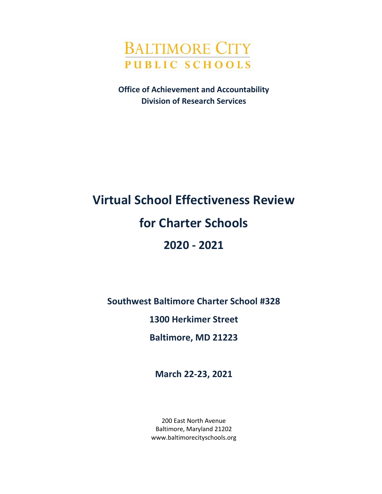

**Office of Achievement and Accountability Division of Research Services**

# **Virtual School Effectiveness Review for Charter Schools 2020 - 2021**

**Southwest Baltimore Charter School #328**

**1300 Herkimer Street**

**Baltimore, MD 21223**

**March 22-23, 2021**

200 East North Avenue Baltimore, Maryland 21202 www.baltimorecityschools.org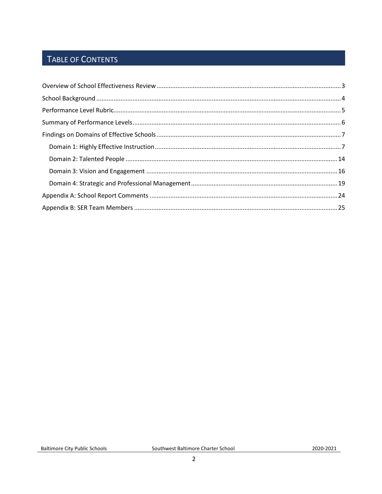## TABLE OF CONTENTS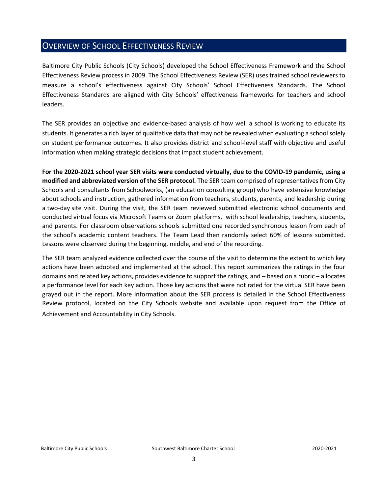## <span id="page-2-0"></span>OVERVIEW OF SCHOOL EFFECTIVENESS REVIEW

Baltimore City Public Schools (City Schools) developed the School Effectiveness Framework and the School Effectiveness Review process in 2009. The School Effectiveness Review (SER) uses trained school reviewers to measure a school's effectiveness against City Schools' School Effectiveness Standards. The School Effectiveness Standards are aligned with City Schools' effectiveness frameworks for teachers and school leaders.

The SER provides an objective and evidence-based analysis of how well a school is working to educate its students. It generates a rich layer of qualitative data that may not be revealed when evaluating a school solely on student performance outcomes. It also provides district and school-level staff with objective and useful information when making strategic decisions that impact student achievement.

**For the 2020-2021 school year SER visits were conducted virtually, due to the COVID-19 pandemic, using a modified and abbreviated version of the SER protocol.** The SER team comprised of representatives from City Schools and consultants from Schoolworks, (an education consulting group) who have extensive knowledge about schools and instruction, gathered information from teachers, students, parents, and leadership during a two-day site visit. During the visit, the SER team reviewed submitted electronic school documents and conducted virtual focus via Microsoft Teams or Zoom platforms, with school leadership, teachers, students, and parents. For classroom observations schools submitted one recorded synchronous lesson from each of the school's academic content teachers. The Team Lead then randomly select 60% of lessons submitted. Lessons were observed during the beginning, middle, and end of the recording.

The SER team analyzed evidence collected over the course of the visit to determine the extent to which key actions have been adopted and implemented at the school. This report summarizes the ratings in the four domains and related key actions, provides evidence to support the ratings, and – based on a rubric – allocates a performance level for each key action. Those key actions that were not rated for the virtual SER have been grayed out in the report. More information about the SER process is detailed in the School Effectiveness Review protocol, located on the City Schools website and available upon request from the Office of Achievement and Accountability in City Schools. **\\**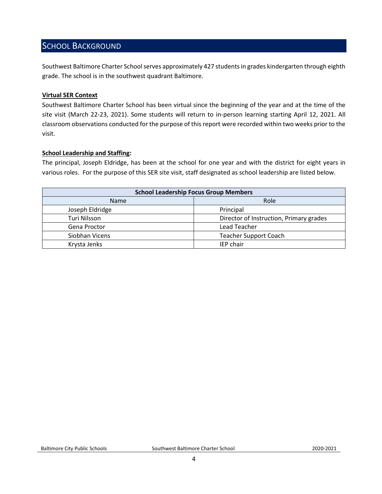## <span id="page-3-0"></span>SCHOOL BACKGROUND

Southwest Baltimore Charter School serves approximately 427 students in grades kindergarten through eighth grade. The school is in the southwest quadrant Baltimore.

#### **Virtual SER Context**

Southwest Baltimore Charter School has been virtual since the beginning of the year and at the time of the site visit (March 22-23, 2021). Some students will return to in-person learning starting April 12, 2021. All classroom observations conducted for the purpose of this report were recorded within two weeks prior to the visit.

#### **School Leadership and Staffing:**

The principal, Joseph Eldridge, has been at the school for one year and with the district for eight years in various roles. For the purpose of this SER site visit, staff designated as school leadership are listed below.

<span id="page-3-1"></span>

| <b>School Leadership Focus Group Members</b> |                                         |  |  |
|----------------------------------------------|-----------------------------------------|--|--|
| Role<br><b>Name</b>                          |                                         |  |  |
| Joseph Eldridge                              | Principal                               |  |  |
| Turi Nilsson                                 | Director of Instruction, Primary grades |  |  |
| Gena Proctor                                 | Lead Teacher                            |  |  |
| Siobhan Vicens                               | <b>Teacher Support Coach</b>            |  |  |
| Krysta Jenks                                 | IEP chair                               |  |  |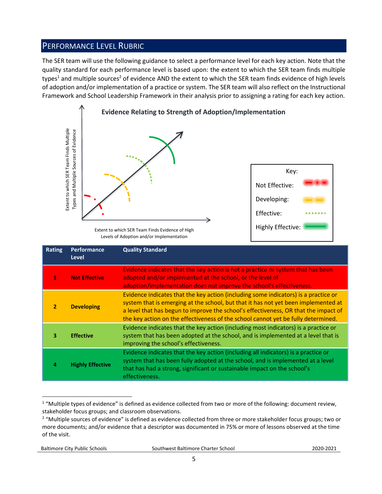## PERFORMANCE LEVEL RUBRIC

The SER team will use the following guidance to select a performance level for each key action. Note that the quality standard for each performance level is based upon: the extent to which the SER team finds multiple types<sup>1</sup> and multiple sources<sup>2</sup> of evidence AND the extent to which the SER team finds evidence of high levels of adoption and/or implementation of a practice or system. The SER team will also reflect on the Instructional Framework and School Leadership Framework in their analysis prior to assigning a rating for each key action.



Levels of Adoption and/or Implementation

|                | Extent to which SER Team Finds Multiple<br>Types and Multiple Sources of Evidence                                                                                                                                                                                                                                                                                          | Extent to which SER Team Finds Evidence of High<br>Levels of Adoption and/or Implementation                                                                                                                                                                                                                                                                                                                                                    | Key:<br>Not Effective:<br>Developing:<br>Effective:<br>Highly Effective: |
|----------------|----------------------------------------------------------------------------------------------------------------------------------------------------------------------------------------------------------------------------------------------------------------------------------------------------------------------------------------------------------------------------|------------------------------------------------------------------------------------------------------------------------------------------------------------------------------------------------------------------------------------------------------------------------------------------------------------------------------------------------------------------------------------------------------------------------------------------------|--------------------------------------------------------------------------|
| <b>Rating</b>  | Performance<br><b>Level</b>                                                                                                                                                                                                                                                                                                                                                | <b>Quality Standard</b>                                                                                                                                                                                                                                                                                                                                                                                                                        |                                                                          |
| 1              | <b>Not Effective</b>                                                                                                                                                                                                                                                                                                                                                       | Evidence indicates that the key action is not a practice or system that has been<br>adopted and/or implemented at the school, or the level of<br>adoption/implementation does not improve the school's effectiveness.                                                                                                                                                                                                                          |                                                                          |
| $\overline{2}$ | Evidence indicates that the key action (including some indicators) is a practice or<br>system that is emerging at the school, but that it has not yet been implemented at<br><b>Developing</b><br>a level that has begun to improve the school's effectiveness, OR that the impact of<br>the key action on the effectiveness of the school cannot yet be fully determined. |                                                                                                                                                                                                                                                                                                                                                                                                                                                |                                                                          |
| 3              | <b>Effective</b>                                                                                                                                                                                                                                                                                                                                                           | Evidence indicates that the key action (including most indicators) is a practice or<br>system that has been adopted at the school, and is implemented at a level that is<br>improving the school's effectiveness.                                                                                                                                                                                                                              |                                                                          |
| 4              | <b>Highly Effective</b>                                                                                                                                                                                                                                                                                                                                                    | Evidence indicates that the key action (including all indicators) is a practice or<br>system that has been fully adopted at the school, and is implemented at a level<br>that has had a strong, significant or sustainable impact on the school's<br>effectiveness.                                                                                                                                                                            |                                                                          |
| of the visit.  |                                                                                                                                                                                                                                                                                                                                                                            | <sup>1</sup> "Multiple types of evidence" is defined as evidence collected from two or more of the following: document review,<br>stakeholder focus groups; and classroom observations.<br><sup>2</sup> "Multiple sources of evidence" is defined as evidence collected from three or more stakeholder focus groups; two or<br>more documents; and/or evidence that a descriptor was documented in 75% or more of lessons observed at the time |                                                                          |

 $\overline{a}$  $1$  "Multiple types of evidence" is defined as evidence collected from two or more of the following: document review, stakeholder focus groups; and classroom observations.

Baltimore City Public Schools Southwest Baltimore Charter School2020-2021

<sup>&</sup>lt;sup>2</sup> "Multiple sources of evidence" is defined as evidence collected from three or more stakeholder focus groups; two or more documents; and/or evidence that a descriptor was documented in 75% or more of lessons observed at the time of the visit.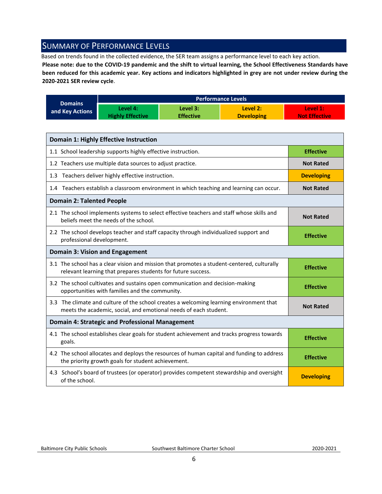## <span id="page-5-0"></span>SUMMARY OF PERFORMANCE LEVELS

Based on trends found in the collected evidence, the SER team assigns a performance level to each key action.

**Please note: due to the COVID-19 pandemic and the shift to virtual learning, the School Effectiveness Standards have been reduced for this academic year. Key actions and indicators highlighted in grey are not under review during the 2020-2021 SER review cycle**.

|                 | <b>Performance Levels</b> |                  |                   |                      |  |
|-----------------|---------------------------|------------------|-------------------|----------------------|--|
| <b>Domains</b>  | Level 4:                  | Level 3:         | Level 2:          | Level 1:             |  |
| and Key Actions | <b>Highly Effective</b>   | <b>Effective</b> | <b>Developing</b> | <b>Not Effective</b> |  |

| <b>Domain 1: Highly Effective Instruction</b>                                                                                                               |                   |
|-------------------------------------------------------------------------------------------------------------------------------------------------------------|-------------------|
| 1.1 School leadership supports highly effective instruction.                                                                                                | <b>Effective</b>  |
| 1.2 Teachers use multiple data sources to adjust practice.                                                                                                  | <b>Not Rated</b>  |
| 1.3 Teachers deliver highly effective instruction.                                                                                                          | <b>Developing</b> |
| 1.4 Teachers establish a classroom environment in which teaching and learning can occur.                                                                    | <b>Not Rated</b>  |
| <b>Domain 2: Talented People</b>                                                                                                                            |                   |
| 2.1 The school implements systems to select effective teachers and staff whose skills and<br>beliefs meet the needs of the school.                          | <b>Not Rated</b>  |
| 2.2 The school develops teacher and staff capacity through individualized support and<br>professional development.                                          | <b>Effective</b>  |
| <b>Domain 3: Vision and Engagement</b>                                                                                                                      |                   |
| 3.1 The school has a clear vision and mission that promotes a student-centered, culturally<br>relevant learning that prepares students for future success.  | <b>Effective</b>  |
| 3.2 The school cultivates and sustains open communication and decision-making<br>opportunities with families and the community.                             | <b>Effective</b>  |
| 3.3 The climate and culture of the school creates a welcoming learning environment that<br>meets the academic, social, and emotional needs of each student. | <b>Not Rated</b>  |
| <b>Domain 4: Strategic and Professional Management</b>                                                                                                      |                   |
| 4.1 The school establishes clear goals for student achievement and tracks progress towards<br>goals.                                                        | <b>Effective</b>  |
| 4.2 The school allocates and deploys the resources of human capital and funding to address<br>the priority growth goals for student achievement.            | <b>Effective</b>  |
| 4.3 School's board of trustees (or operator) provides competent stewardship and oversight<br>of the school.                                                 | <b>Developing</b> |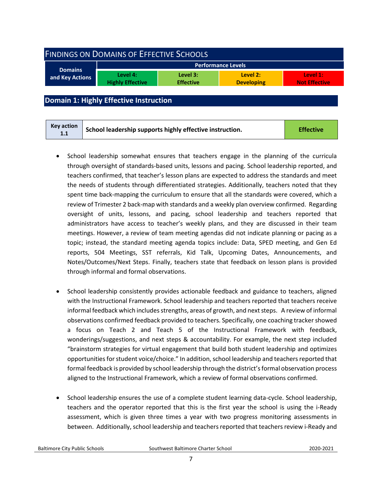<span id="page-6-0"></span>

| <b>FINDINGS ON DOMAINS OF EFFECTIVE SCHOOLS</b> |                                     |                              |                               |                                  |  |
|-------------------------------------------------|-------------------------------------|------------------------------|-------------------------------|----------------------------------|--|
|                                                 |                                     |                              | <b>Performance Levels</b>     |                                  |  |
| <b>Domains</b><br>and Key Actions               | Level 4:<br><b>Highly Effective</b> | Level 3:<br><b>Effective</b> | Level 2:<br><b>Developing</b> | Level 1:<br><b>Not Effective</b> |  |
|                                                 |                                     |                              |                               |                                  |  |

<span id="page-6-1"></span>**Domain 1: Highly Effective Instruction**

| Key action<br>1.1 | School leadership supports highly effective instruction. | <b>Effective</b> |
|-------------------|----------------------------------------------------------|------------------|
|-------------------|----------------------------------------------------------|------------------|

- School leadership somewhat ensures that teachers engage in the planning of the curricula through oversight of standards-based units, lessons and pacing. School leadership reported, and teachers confirmed, that teacher's lesson plans are expected to address the standards and meet the needs of students through differentiated strategies. Additionally, teachers noted that they spent time back-mapping the curriculum to ensure that all the standards were covered, which a review of Trimester 2 back-map with standards and a weekly plan overview confirmed. Regarding oversight of units, lessons, and pacing, school leadership and teachers reported that administrators have access to teacher's weekly plans, and they are discussed in their team meetings. However, a review of team meeting agendas did not indicate planning or pacing as a topic; instead, the standard meeting agenda topics include: Data, SPED meeting, and Gen Ed reports, 504 Meetings, SST referrals, Kid Talk, Upcoming Dates, Announcements, and Notes/Outcomes/Next Steps. Finally, teachers state that feedback on lesson plans is provided through informal and formal observations.
- School leadership consistently provides actionable feedback and guidance to teachers, aligned with the Instructional Framework. School leadership and teachers reported that teachers receive informal feedback which includes strengths, areas of growth, and next steps. A review of informal observations confirmed feedback provided to teachers. Specifically, one coaching tracker showed a focus on Teach 2 and Teach 5 of the Instructional Framework with feedback, wonderings/suggestions, and next steps & accountability. For example, the next step included "brainstorm strategies for virtual engagement that build both student leadership and optimizes opportunities for student voice/choice." In addition, school leadership and teachers reported that formal feedback is provided by school leadership through the district's formal observation process aligned to the Instructional Framework, which a review of formal observations confirmed.
- School leadership ensures the use of a complete student learning data-cycle. School leadership, teachers and the operator reported that this is the first year the school is using the i-Ready assessment, which is given three times a year with two progress monitoring assessments in between. Additionally, school leadership and teachers reported that teachers review i-Ready and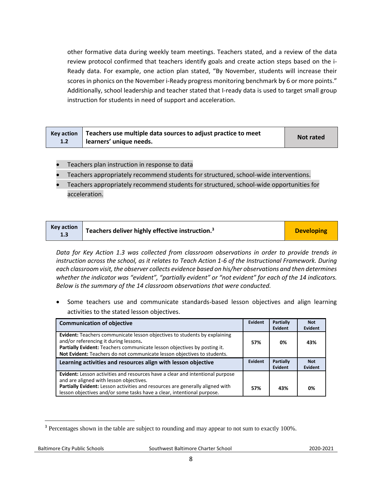other formative data during weekly team meetings. Teachers stated, and a review of the data review protocol confirmed that teachers identify goals and create action steps based on the i-Ready data. For example, one action plan stated, "By November, students will increase their scores in phonics on the November i-Ready progress monitoring benchmark by 6 or more points." Additionally, school leadership and teacher stated that I-ready data is used to target small group instruction for students in need of support and acceleration.

|     | Key action $\vert$ Teachers use multiple data sources to adjust practice to meet | <b>Not rated</b> |
|-----|----------------------------------------------------------------------------------|------------------|
| 1.2 | learners' unique needs.                                                          |                  |

- Teachers plan instruction in response to data
- Teachers appropriately recommend students for structured, school-wide interventions.
- Teachers appropriately recommend students for structured, school-wide opportunities for acceleration.

| <b>Key action</b><br>1.3 | <sup>1</sup> Teachers deliver highly effective instruction. <sup>3</sup> | <b>Developing</b> |
|--------------------------|--------------------------------------------------------------------------|-------------------|
|--------------------------|--------------------------------------------------------------------------|-------------------|

*Data for Key Action 1.3 was collected from classroom observations in order to provide trends in instruction across the school, as it relates to Teach Action 1-6 of the Instructional Framework. During each classroom visit, the observer collects evidence based on his/her observations and then determines*  whether the indicator was "evident", "partially evident" or "not evident" for each of the 14 indicators. *Below is the summary of the 14 classroom observations that were conducted.* 

Some teachers use and communicate standards-based lesson objectives and align learning activities to the stated lesson objectives.

| <b>Communication of objective</b>                                                                                                                                                                                                                                                | Evident | <b>Partially</b><br>Evident | <b>Not</b><br>Evident |
|----------------------------------------------------------------------------------------------------------------------------------------------------------------------------------------------------------------------------------------------------------------------------------|---------|-----------------------------|-----------------------|
| <b>Evident:</b> Teachers communicate lesson objectives to students by explaining<br>and/or referencing it during lessons.<br>Partially Evident: Teachers communicate lesson objectives by posting it.<br>Not Evident: Teachers do not communicate lesson objectives to students. | 57%     | 0%                          | 43%                   |
| Learning activities and resources align with lesson objective                                                                                                                                                                                                                    | Evident | <b>Partially</b><br>Evident | <b>Not</b><br>Evident |
| Evident: Lesson activities and resources have a clear and intentional purpose<br>and are aligned with lesson objectives.                                                                                                                                                         |         |                             |                       |
| Partially Evident: Lesson activities and resources are generally aligned with<br>lesson objectives and/or some tasks have a clear, intentional purpose.                                                                                                                          | 57%     | 43%                         | 0%                    |

l

<sup>&</sup>lt;sup>3</sup> Percentages shown in the table are subject to rounding and may appear to not sum to exactly 100%.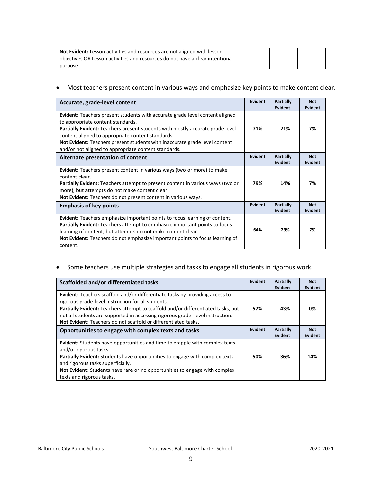| <b>Not Evident:</b> Lesson activities and resources are not aligned with lesson |  |  |
|---------------------------------------------------------------------------------|--|--|
| objectives OR Lesson activities and resources do not have a clear intentional   |  |  |
| purpose.                                                                        |  |  |

• Most teachers present content in various ways and emphasize key points to make content clear.

| Accurate, grade-level content                                                                                                                                                                                                                                                                                                                                                                        | <b>Evident</b> | Partially<br>Evident        | <b>Not</b><br>Evident        |
|------------------------------------------------------------------------------------------------------------------------------------------------------------------------------------------------------------------------------------------------------------------------------------------------------------------------------------------------------------------------------------------------------|----------------|-----------------------------|------------------------------|
| <b>Evident:</b> Teachers present students with accurate grade level content aligned<br>to appropriate content standards.<br>Partially Evident: Teachers present students with mostly accurate grade level<br>content aligned to appropriate content standards.<br>Not Evident: Teachers present students with inaccurate grade level content<br>and/or not aligned to appropriate content standards. | 71%            | 21%                         | 7%                           |
| Alternate presentation of content                                                                                                                                                                                                                                                                                                                                                                    | <b>Evident</b> | Partially<br>Evident        | <b>Not</b><br><b>Evident</b> |
| Evident: Teachers present content in various ways (two or more) to make<br>content clear.<br>Partially Evident: Teachers attempt to present content in various ways (two or<br>more), but attempts do not make content clear.<br>Not Evident: Teachers do not present content in various ways.                                                                                                       | 79%            | 14%                         | 7%                           |
| <b>Emphasis of key points</b>                                                                                                                                                                                                                                                                                                                                                                        | Evident        | <b>Partially</b><br>Evident | <b>Not</b><br>Evident        |
| <b>Evident:</b> Teachers emphasize important points to focus learning of content.<br>Partially Evident: Teachers attempt to emphasize important points to focus<br>learning of content, but attempts do not make content clear.<br>Not Evident: Teachers do not emphasize important points to focus learning of<br>content.                                                                          | 64%            | 29%                         | 7%                           |

• Some teachers use multiple strategies and tasks to engage all students in rigorous work.

| Scaffolded and/or differentiated tasks                                                                                                                                                                                                                                                                                                                                                  | <b>Evident</b> | Partially<br><b>Evident</b> | <b>Not</b><br>Evident |
|-----------------------------------------------------------------------------------------------------------------------------------------------------------------------------------------------------------------------------------------------------------------------------------------------------------------------------------------------------------------------------------------|----------------|-----------------------------|-----------------------|
| <b>Evident:</b> Teachers scaffold and/or differentiate tasks by providing access to<br>rigorous grade-level instruction for all students.<br><b>Partially Evident:</b> Teachers attempt to scaffold and/or differentiated tasks, but<br>not all students are supported in accessing rigorous grade-level instruction.<br>Not Evident: Teachers do not scaffold or differentiated tasks. | 57%            | 43%                         | 0%                    |
| Opportunities to engage with complex texts and tasks                                                                                                                                                                                                                                                                                                                                    | <b>Evident</b> | Partially<br><b>Evident</b> | <b>Not</b><br>Evident |
| Evident: Students have opportunities and time to grapple with complex texts<br>and/or rigorous tasks.<br>Partially Evident: Students have opportunities to engage with complex texts<br>and rigorous tasks superficially.<br>Not Evident: Students have rare or no opportunities to engage with complex<br>texts and rigorous tasks.                                                    | 50%            | 36%                         | 14%                   |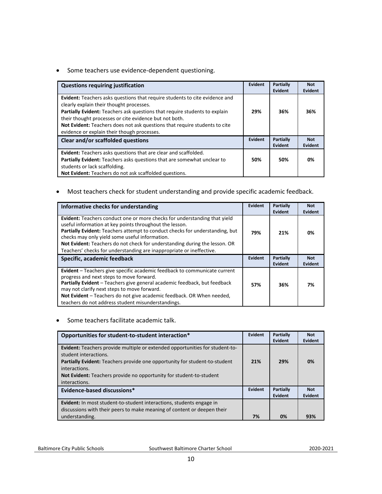• Some teachers use evidence-dependent questioning.

| <b>Questions requiring justification</b>                                                                                                                                                                                                                                                                                                                                                                   | Evident | Partially<br>Evident | <b>Not</b><br><b>Evident</b> |
|------------------------------------------------------------------------------------------------------------------------------------------------------------------------------------------------------------------------------------------------------------------------------------------------------------------------------------------------------------------------------------------------------------|---------|----------------------|------------------------------|
| <b>Evident:</b> Teachers asks questions that require students to cite evidence and<br>clearly explain their thought processes.<br><b>Partially Evident:</b> Teachers ask questions that require students to explain<br>their thought processes or cite evidence but not both.<br>Not Evident: Teachers does not ask questions that require students to cite<br>evidence or explain their though processes. | 29%     | 36%                  | 36%                          |
| Clear and/or scaffolded questions                                                                                                                                                                                                                                                                                                                                                                          | Evident | Partially<br>Evident | <b>Not</b><br>Evident        |
| <b>Evident:</b> Teachers asks questions that are clear and scaffolded.<br>Partially Evident: Teachers asks questions that are somewhat unclear to<br>students or lack scaffolding.<br>Not Evident: Teachers do not ask scaffolded questions.                                                                                                                                                               | 50%     | 50%                  | 0%                           |

• Most teachers check for student understanding and provide specific academic feedback.

| Informative checks for understanding                                                                                                                                                                                                                                                                                                                                                                                         | <b>Evident</b> | Partially<br>Evident | <b>Not</b><br><b>Evident</b> |
|------------------------------------------------------------------------------------------------------------------------------------------------------------------------------------------------------------------------------------------------------------------------------------------------------------------------------------------------------------------------------------------------------------------------------|----------------|----------------------|------------------------------|
| Evident: Teachers conduct one or more checks for understanding that yield<br>useful information at key points throughout the lesson.<br>Partially Evident: Teachers attempt to conduct checks for understanding, but<br>checks may only yield some useful information.<br>Not Evident: Teachers do not check for understanding during the lesson. OR<br>Teachers' checks for understanding are inappropriate or ineffective. | 79%            | 21%                  | 0%                           |
| Specific, academic feedback                                                                                                                                                                                                                                                                                                                                                                                                  | Evident        | Partially<br>Evident | <b>Not</b><br>Evident        |
| Evident - Teachers give specific academic feedback to communicate current<br>progress and next steps to move forward.<br>Partially Evident - Teachers give general academic feedback, but feedback<br>may not clarify next steps to move forward.<br>Not Evident - Teachers do not give academic feedback. OR When needed,<br>teachers do not address student misunderstandings.                                             | 57%            | 36%                  | 7%                           |

• Some teachers facilitate academic talk.

| Opportunities for student-to-student interaction*                                                                                                                                                                                                                                                   | Evident | <b>Partially</b><br>Evident | <b>Not</b><br>Evident |
|-----------------------------------------------------------------------------------------------------------------------------------------------------------------------------------------------------------------------------------------------------------------------------------------------------|---------|-----------------------------|-----------------------|
| Evident: Teachers provide multiple or extended opportunities for student-to-<br>student interactions.<br><b>Partially Evident:</b> Teachers provide one opportunity for student-to-student<br>interactions.<br>Not Evident: Teachers provide no opportunity for student-to-student<br>interactions. | 21%     | 29%                         | 0%                    |
| Evidence-based discussions*                                                                                                                                                                                                                                                                         | Evident | <b>Partially</b><br>Evident | <b>Not</b><br>Evident |
| <b>Evident:</b> In most student-to-student interactions, students engage in<br>discussions with their peers to make meaning of content or deepen their<br>understanding.                                                                                                                            | 7%      | 0%                          | 93%                   |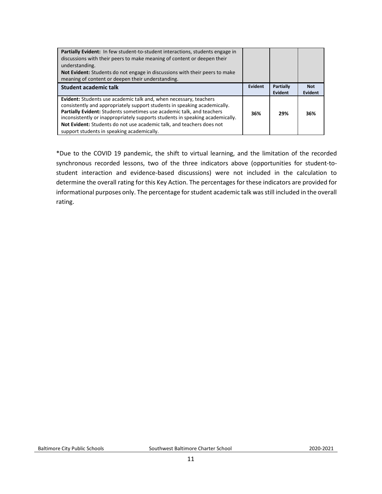| <b>Partially Evident:</b> In few student-to-student interactions, students engage in<br>discussions with their peers to make meaning of content or deepen their<br>understanding.<br><b>Not Evident:</b> Students do not engage in discussions with their peers to make<br>meaning of content or deepen their understanding.                                                                                                    |         |                      |                       |
|---------------------------------------------------------------------------------------------------------------------------------------------------------------------------------------------------------------------------------------------------------------------------------------------------------------------------------------------------------------------------------------------------------------------------------|---------|----------------------|-----------------------|
| <b>Student academic talk</b>                                                                                                                                                                                                                                                                                                                                                                                                    | Evident | Partially<br>Evident | <b>Not</b><br>Evident |
| Evident: Students use academic talk and, when necessary, teachers<br>consistently and appropriately support students in speaking academically.<br>Partially Evident: Students sometimes use academic talk, and teachers<br>inconsistently or inappropriately supports students in speaking academically.<br>Not Evident: Students do not use academic talk, and teachers does not<br>support students in speaking academically. | 36%     | 29%                  | 36%                   |

\*Due to the COVID 19 pandemic, the shift to virtual learning, and the limitation of the recorded synchronous recorded lessons, two of the three indicators above (opportunities for student-tostudent interaction and evidence-based discussions) were not included in the calculation to determine the overall rating for this Key Action. The percentages for these indicators are provided for informational purposes only. The percentage for student academic talk was still included in the overall rating.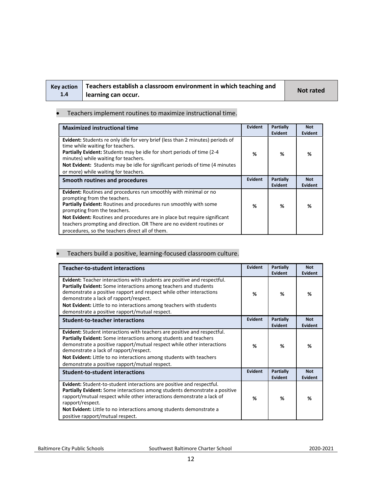| Key action |  |
|------------|--|
| 1.4        |  |

## **Teachers establish a classroom environment in which teaching and learning can occur. Not rated**

#### • Teachers implement routines to maximize instructional time.

| <b>Maximized instructional time</b>                                                                                                                                                                                                                                                                                                                                                                                   | <b>Evident</b> | Partially<br><b>Evident</b> | <b>Not</b><br><b>Evident</b> |
|-----------------------------------------------------------------------------------------------------------------------------------------------------------------------------------------------------------------------------------------------------------------------------------------------------------------------------------------------------------------------------------------------------------------------|----------------|-----------------------------|------------------------------|
| <b>Evident:</b> Students re only idle for very brief (less than 2 minutes) periods of<br>time while waiting for teachers.<br><b>Partially Evident:</b> Students may be idle for short periods of time (2-4)<br>minutes) while waiting for teachers.<br>Not Evident: Students may be idle for significant periods of time (4 minutes)<br>or more) while waiting for teachers.                                          | ℅              | %                           | ℅                            |
| Smooth routines and procedures                                                                                                                                                                                                                                                                                                                                                                                        | Evident        | Partially<br><b>Evident</b> | <b>Not</b><br>Evident        |
| Evident: Routines and procedures run smoothly with minimal or no<br>prompting from the teachers.<br><b>Partially Evident:</b> Routines and procedures run smoothly with some<br>prompting from the teachers.<br>Not Evident: Routines and procedures are in place but require significant<br>teachers prompting and direction. OR There are no evident routines or<br>procedures, so the teachers direct all of them. | %              | ℅                           | ℅                            |

#### • Teachers build a positive, learning-focused classroom culture.

| <b>Teacher-to-student interactions</b>                                                                                                                                                                                                                                                                                                                                                           | Evident        | Partially<br>Evident | <b>Not</b><br>Evident |
|--------------------------------------------------------------------------------------------------------------------------------------------------------------------------------------------------------------------------------------------------------------------------------------------------------------------------------------------------------------------------------------------------|----------------|----------------------|-----------------------|
| Evident: Teacher interactions with students are positive and respectful.<br>Partially Evident: Some interactions among teachers and students<br>demonstrate a positive rapport and respect while other interactions<br>demonstrate a lack of rapport/respect.<br>Not Evident: Little to no interactions among teachers with students<br>demonstrate a positive rapport/mutual respect.           | %              | ℅                    | %                     |
| <b>Student-to-teacher interactions</b>                                                                                                                                                                                                                                                                                                                                                           | <b>Evident</b> | Partially<br>Evident | <b>Not</b><br>Evident |
| <b>Evident:</b> Student interactions with teachers are positive and respectful.<br>Partially Evident: Some interactions among students and teachers<br>demonstrate a positive rapport/mutual respect while other interactions<br>demonstrate a lack of rapport/respect.<br>Not Evident: Little to no interactions among students with teachers<br>demonstrate a positive rapport/mutual respect. | %              | %                    | %                     |
| <b>Student-to-student interactions</b>                                                                                                                                                                                                                                                                                                                                                           | Evident        | Partially<br>Evident | <b>Not</b><br>Evident |
| <b>Evident:</b> Student-to-student interactions are positive and respectful.<br><b>Partially Evident:</b> Some interactions among students demonstrate a positive<br>rapport/mutual respect while other interactions demonstrate a lack of<br>rapport/respect.<br><b>Not Evident:</b> Little to no interactions among students demonstrate a<br>positive rapport/mutual respect.                 | %              | %                    | %                     |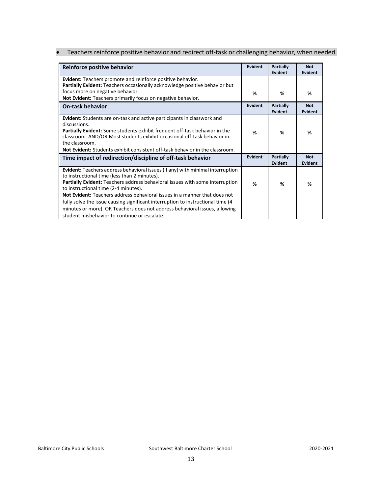• Teachers reinforce positive behavior and redirect off-task or challenging behavior, when needed.

| Reinforce positive behavior                                                                                                                                                                                                                                                                                                                                                                                                                                                                                                                                  | Evident | <b>Partially</b><br>Evident | <b>Not</b><br>Evident        |
|--------------------------------------------------------------------------------------------------------------------------------------------------------------------------------------------------------------------------------------------------------------------------------------------------------------------------------------------------------------------------------------------------------------------------------------------------------------------------------------------------------------------------------------------------------------|---------|-----------------------------|------------------------------|
| <b>Evident:</b> Teachers promote and reinforce positive behavior.<br>Partially Evident: Teachers occasionally acknowledge positive behavior but                                                                                                                                                                                                                                                                                                                                                                                                              |         |                             |                              |
| focus more on negative behavior.<br>Not Evident: Teachers primarily focus on negative behavior.                                                                                                                                                                                                                                                                                                                                                                                                                                                              | %       | %                           | %                            |
| <b>On-task behavior</b>                                                                                                                                                                                                                                                                                                                                                                                                                                                                                                                                      | Evident | <b>Partially</b><br>Evident | <b>Not</b><br><b>Evident</b> |
| <b>Evident:</b> Students are on-task and active participants in classwork and<br>discussions.<br><b>Partially Evident:</b> Some students exhibit frequent off-task behavior in the<br>classroom. AND/OR Most students exhibit occasional off-task behavior in<br>the classroom.<br><b>Not Evident:</b> Students exhibit consistent off-task behavior in the classroom.                                                                                                                                                                                       | %       | %                           | %                            |
| Time impact of redirection/discipline of off-task behavior                                                                                                                                                                                                                                                                                                                                                                                                                                                                                                   | Evident | <b>Partially</b><br>Evident | <b>Not</b><br><b>Evident</b> |
| <b>Evident:</b> Teachers address behavioral issues (if any) with minimal interruption<br>to instructional time (less than 2 minutes).<br>Partially Evident: Teachers address behavioral issues with some interruption<br>to instructional time (2-4 minutes).<br>Not Evident: Teachers address behavioral issues in a manner that does not<br>fully solve the issue causing significant interruption to instructional time (4)<br>minutes or more). OR Teachers does not address behavioral issues, allowing<br>student misbehavior to continue or escalate. | %       | ℅                           | %                            |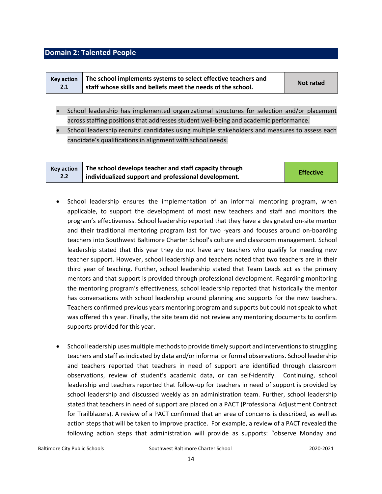### <span id="page-13-0"></span>**Domain 2: Talented People**

| <b>Kev action</b> | The school implements systems to select effective teachers and | Not rated |
|-------------------|----------------------------------------------------------------|-----------|
| 2.1               | staff whose skills and beliefs meet the needs of the school.   |           |

- School leadership has implemented organizational structures for selection and/or placement across staffing positions that addresses student well-being and academic performance.
- School leadership recruits' candidates using multiple stakeholders and measures to assess each candidate's qualifications in alignment with school needs.

| <b>Kev action</b> | The school develops teacher and staff capacity through | <b>Effective</b> |
|-------------------|--------------------------------------------------------|------------------|
| 2.2               | individualized support and professional development.   |                  |

- School leadership ensures the implementation of an informal mentoring program, when applicable, to support the development of most new teachers and staff and monitors the program's effectiveness. School leadership reported that they have a designated on-site mentor and their traditional mentoring program last for two -years and focuses around on-boarding teachers into Southwest Baltimore Charter School's culture and classroom management. School leadership stated that this year they do not have any teachers who qualify for needing new teacher support. However, school leadership and teachers noted that two teachers are in their third year of teaching. Further, school leadership stated that Team Leads act as the primary mentors and that support is provided through professional development. Regarding monitoring the mentoring program's effectiveness, school leadership reported that historically the mentor has conversations with school leadership around planning and supports for the new teachers. Teachers confirmed previous years mentoring program and supports but could not speak to what was offered this year. Finally, the site team did not review any mentoring documents to confirm supports provided for this year.
- School leadership uses multiple methods to provide timely support and interventions to struggling teachers and staff as indicated by data and/or informal or formal observations. School leadership and teachers reported that teachers in need of support are identified through classroom observations, review of student's academic data, or can self-identify. Continuing, school leadership and teachers reported that follow-up for teachers in need of support is provided by school leadership and discussed weekly as an administration team. Further, school leadership stated that teachers in need of support are placed on a PACT (Professional Adjustment Contract for Trailblazers). A review of a PACT confirmed that an area of concerns is described, as well as action steps that will be taken to improve practice. For example, a review of a PACT revealed the following action steps that administration will provide as supports: "observe Monday and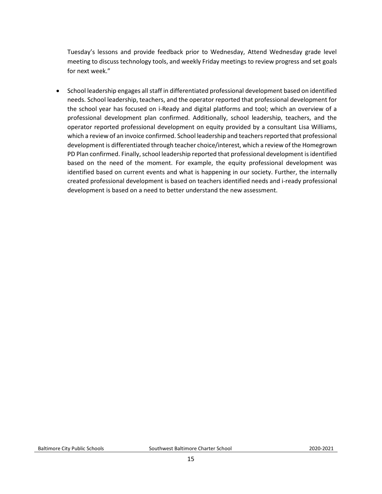Tuesday's lessons and provide feedback prior to Wednesday, Attend Wednesday grade level meeting to discuss technology tools, and weekly Friday meetings to review progress and set goals for next week."

• School leadership engages all staff in differentiated professional development based on identified needs. School leadership, teachers, and the operator reported that professional development for the school year has focused on i-Ready and digital platforms and tool; which an overview of a professional development plan confirmed. Additionally, school leadership, teachers, and the operator reported professional development on equity provided by a consultant Lisa Williams, which a review of an invoice confirmed. School leadership and teachers reported that professional development is differentiated through teacher choice/interest, which a review of the Homegrown PD Plan confirmed. Finally, school leadership reported that professional development is identified based on the need of the moment. For example, the equity professional development was identified based on current events and what is happening in our society. Further, the internally created professional development is based on teachers identified needs and i-ready professional development is based on a need to better understand the new assessment.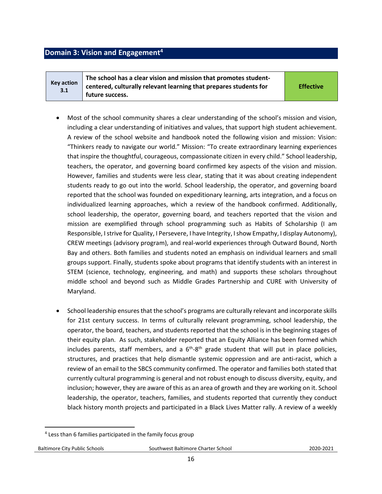### <span id="page-15-0"></span>**Domain 3: Vision and Engagement<sup>4</sup>**

**Key action 3.1 The school has a clear vision and mission that promotes studentcentered, culturally relevant learning that prepares students for future success.** 

**Effective**

- Most of the school community shares a clear understanding of the school's mission and vision, including a clear understanding of initiatives and values, that support high student achievement. A review of the school website and handbook noted the following vision and mission: Vision: "Thinkers ready to navigate our world." Mission: "To create extraordinary learning experiences that inspire the thoughtful, courageous, compassionate citizen in every child." School leadership, teachers, the operator, and governing board confirmed key aspects of the vision and mission. However, families and students were less clear, stating that it was about creating independent students ready to go out into the world. School leadership, the operator, and governing board reported that the school was founded on expeditionary learning, arts integration, and a focus on individualized learning approaches, which a review of the handbook confirmed. Additionally, school leadership, the operator, governing board, and teachers reported that the vision and mission are exemplified through school programming such as Habits of Scholarship (I am Responsible, I strive for Quality, I Persevere, I have Integrity, I show Empathy, I display Autonomy), CREW meetings (advisory program), and real-world experiences through Outward Bound, North Bay and others. Both families and students noted an emphasis on individual learners and small groups support. Finally, students spoke about programs that identify students with an interest in STEM (science, technology, engineering, and math) and supports these scholars throughout middle school and beyond such as Middle Grades Partnership and CURE with University of Maryland.
- School leadership ensures that the school's programs are culturally relevant and incorporate skills for 21st century success. In terms of culturally relevant programming, school leadership, the operator, the board, teachers, and students reported that the school is in the beginning stages of their equity plan. As such, stakeholder reported that an Equity Alliance has been formed which includes parents, staff members, and a  $6<sup>th</sup>-8<sup>th</sup>$  grade student that will put in place policies, structures, and practices that help dismantle systemic oppression and are anti-racist, which a review of an email to the SBCS community confirmed. The operator and families both stated that currently cultural programming is general and not robust enough to discuss diversity, equity, and inclusion; however, they are aware of this as an area of growth and they are working on it. School leadership, the operator, teachers, families, and students reported that currently they conduct black history month projects and participated in a Black Lives Matter rally. A review of a weekly

Baltimore City Public Schools Southwest Baltimore Charter School2020-2021

 $\overline{\phantom{a}}$ <sup>4</sup> Less than 6 families participated in the family focus group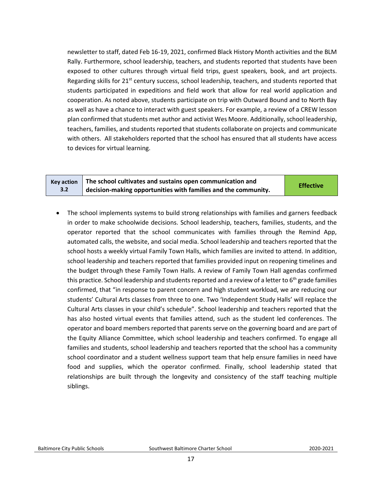newsletter to staff, dated Feb 16-19, 2021, confirmed Black History Month activities and the BLM Rally. Furthermore, school leadership, teachers, and students reported that students have been exposed to other cultures through virtual field trips, guest speakers, book, and art projects. Regarding skills for  $21^{st}$  century success, school leadership, teachers, and students reported that students participated in expeditions and field work that allow for real world application and cooperation. As noted above, students participate on trip with Outward Bound and to North Bay as well as have a chance to interact with guest speakers. For example, a review of a CREW lesson plan confirmed that students met author and activist Wes Moore. Additionally, school leadership, teachers, families, and students reported that students collaborate on projects and communicate with others. All stakeholders reported that the school has ensured that all students have access to devices for virtual learning.

|     | $Key action$ The school cultivates and sustains open communication and       | <b>Effective</b> |
|-----|------------------------------------------------------------------------------|------------------|
| 3.2 | $\frac{1}{2}$ decision-making opportunities with families and the community. |                  |

• The school implements systems to build strong relationships with families and garners feedback in order to make schoolwide decisions. School leadership, teachers, families, students, and the operator reported that the school communicates with families through the Remind App, automated calls, the website, and social media. School leadership and teachers reported that the school hosts a weekly virtual Family Town Halls, which families are invited to attend. In addition, school leadership and teachers reported that families provided input on reopening timelines and the budget through these Family Town Halls. A review of Family Town Hall agendas confirmed this practice. School leadership and students reported and a review of a letter to  $6<sup>th</sup>$  grade families confirmed, that "in response to parent concern and high student workload, we are reducing our students' Cultural Arts classes from three to one. Two 'Independent Study Halls' will replace the Cultural Arts classes in your child's schedule". School leadership and teachers reported that the has also hosted virtual events that families attend, such as the student led conferences. The operator and board members reported that parents serve on the governing board and are part of the Equity Alliance Committee, which school leadership and teachers confirmed. To engage all families and students, school leadership and teachers reported that the school has a community school coordinator and a student wellness support team that help ensure families in need have food and supplies, which the operator confirmed. Finally, school leadership stated that relationships are built through the longevity and consistency of the staff teaching multiple siblings.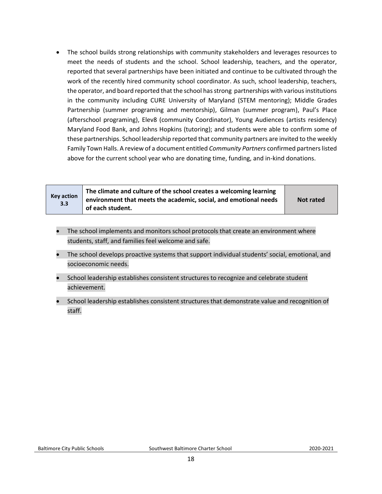• The school builds strong relationships with community stakeholders and leverages resources to meet the needs of students and the school. School leadership, teachers, and the operator, reported that several partnerships have been initiated and continue to be cultivated through the work of the recently hired community school coordinator. As such, school leadership, teachers, the operator, and board reported that the school has strong partnerships with various institutions in the community including CURE University of Maryland (STEM mentoring); Middle Grades Partnership (summer programing and mentorship), Gilman (summer program), Paul's Place (afterschool programing), Elev8 (community Coordinator), Young Audiences (artists residency) Maryland Food Bank, and Johns Hopkins (tutoring); and students were able to confirm some of these partnerships. School leadership reported that community partners are invited to the weekly Family Town Halls. A review of a document entitled *Community Partners* confirmed partners listed above for the current school year who are donating time, funding, and in-kind donations.

| <b>Key action</b><br>3.3 | The climate and culture of the school creates a welcoming learning<br>environment that meets the academic, social, and emotional needs<br>of each student. | Not rated |
|--------------------------|------------------------------------------------------------------------------------------------------------------------------------------------------------|-----------|
|--------------------------|------------------------------------------------------------------------------------------------------------------------------------------------------------|-----------|

- The school implements and monitors school protocols that create an environment where students, staff, and families feel welcome and safe.
- The school develops proactive systems that support individual students' social, emotional, and socioeconomic needs.
- School leadership establishes consistent structures to recognize and celebrate student achievement.
- School leadership establishes consistent structures that demonstrate value and recognition of staff.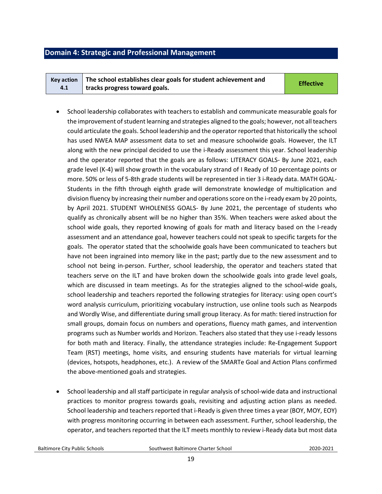## <span id="page-18-0"></span>**Domain 4: Strategic and Professional Management**

|     | Key action $\parallel$ The school establishes clear goals for student achievement and | <b>Effective</b> |
|-----|---------------------------------------------------------------------------------------|------------------|
| 4.1 | tracks progress toward goals.                                                         |                  |

- School leadership collaborates with teachers to establish and communicate measurable goals for the improvement of student learning and strategies aligned to the goals; however, not all teachers could articulate the goals. School leadership and the operator reported that historically the school has used NWEA MAP assessment data to set and measure schoolwide goals. However, the ILT along with the new principal decided to use the i-Ready assessment this year. School leadership and the operator reported that the goals are as follows: LITERACY GOALS- By June 2021, each grade level (K-4) will show growth in the vocabulary strand of I Ready of 10 percentage points or more. 50% or less of 5-8th grade students will be represented in tier 3 i-Ready data. MATH GOAL-Students in the fifth through eighth grade will demonstrate knowledge of multiplication and division fluency by increasing their number and operations score on the i-ready exam by 20 points, by April 2021. STUDENT WHOLENESS GOALS- By June 2021, the percentage of students who qualify as chronically absent will be no higher than 35%. When teachers were asked about the school wide goals, they reported knowing of goals for math and literacy based on the I-ready assessment and an attendance goal, however teachers could not speak to specific targets for the goals. The operator stated that the schoolwide goals have been communicated to teachers but have not been ingrained into memory like in the past; partly due to the new assessment and to school not being in-person. Further, school leadership, the operator and teachers stated that teachers serve on the ILT and have broken down the schoolwide goals into grade level goals, which are discussed in team meetings. As for the strategies aligned to the school-wide goals, school leadership and teachers reported the following strategies for literacy: using open court's word analysis curriculum, prioritizing vocabulary instruction, use online tools such as Nearpods and Wordly Wise, and differentiate during small group literacy. As for math: tiered instruction for small groups, domain focus on numbers and operations, fluency math games, and intervention programs such as Number worlds and Horizon. Teachers also stated that they use i-ready lessons for both math and literacy. Finally, the attendance strategies include: Re-Engagement Support Team (RST) meetings, home visits, and ensuring students have materials for virtual learning (devices, hotspots, headphones, etc.). A review of the SMARTe Goal and Action Plans confirmed the above-mentioned goals and strategies.
- School leadership and all staff participate in regular analysis of school-wide data and instructional practices to monitor progress towards goals, revisiting and adjusting action plans as needed. School leadership and teachers reported that i-Ready is given three times a year (BOY, MOY, EOY) with progress monitoring occurring in between each assessment. Further, school leadership, the operator, and teachers reported that the ILT meets monthly to review i-Ready data but most data

Baltimore City Public Schools Southwest Baltimore Charter School2020-2021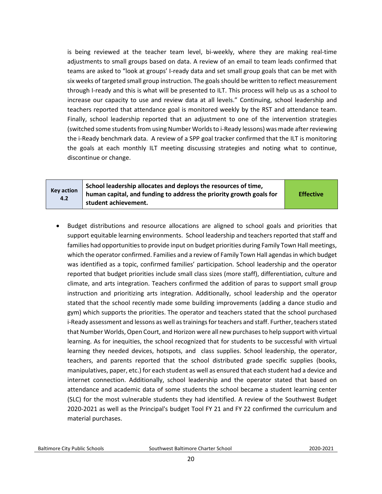is being reviewed at the teacher team level, bi-weekly, where they are making real-time adjustments to small groups based on data. A review of an email to team leads confirmed that teams are asked to "look at groups' I-ready data and set small group goals that can be met with six weeks of targeted small group instruction. The goals should be written to reflect measurement through I-ready and this is what will be presented to ILT. This process will help us as a school to increase our capacity to use and review data at all levels." Continuing, school leadership and teachers reported that attendance goal is monitored weekly by the RST and attendance team. Finally, school leadership reported that an adjustment to one of the intervention strategies (switched some students from using Number Worlds to i-Ready lessons) was made after reviewing the i-Ready benchmark data. A review of a SPP goal tracker confirmed that the ILT is monitoring the goals at each monthly ILT meeting discussing strategies and noting what to continue, discontinue or change.

| Key action<br>4.2 | School leadership allocates and deploys the resources of time,<br>human capital, and funding to address the priority growth goals for<br>student achievement. | <b>Effective</b> |
|-------------------|---------------------------------------------------------------------------------------------------------------------------------------------------------------|------------------|
|-------------------|---------------------------------------------------------------------------------------------------------------------------------------------------------------|------------------|

• Budget distributions and resource allocations are aligned to school goals and priorities that support equitable learning environments. School leadership and teachers reported that staff and families had opportunities to provide input on budget priorities during Family Town Hall meetings, which the operator confirmed. Families and a review of Family Town Hall agendas in which budget was identified as a topic, confirmed families' participation. School leadership and the operator reported that budget priorities include small class sizes (more staff), differentiation, culture and climate, and arts integration. Teachers confirmed the addition of paras to support small group instruction and prioritizing arts integration. Additionally, school leadership and the operator stated that the school recently made some building improvements (adding a dance studio and gym) which supports the priorities. The operator and teachers stated that the school purchased i-Ready assessment and lessons as well as trainings for teachers and staff. Further, teachers stated that Number Worlds, Open Court, and Horizon were all new purchases to help support with virtual learning. As for inequities, the school recognized that for students to be successful with virtual learning they needed devices, hotspots, and class supplies. School leadership, the operator, teachers, and parents reported that the school distributed grade specific supplies (books, manipulatives, paper, etc.) for each student as well as ensured that each student had a device and internet connection. Additionally, school leadership and the operator stated that based on attendance and academic data of some students the school became a student learning center (SLC) for the most vulnerable students they had identified. A review of the Southwest Budget 2020-2021 as well as the Principal's budget Tool FY 21 and FY 22 confirmed the curriculum and material purchases.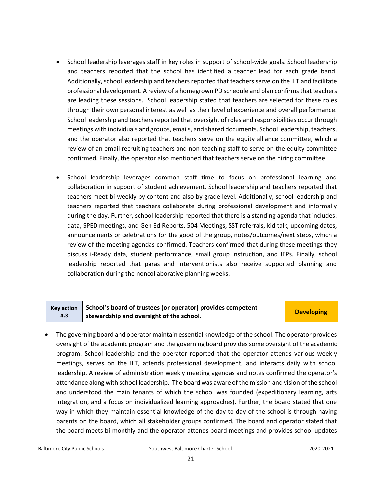- School leadership leverages staff in key roles in support of school-wide goals. School leadership and teachers reported that the school has identified a teacher lead for each grade band. Additionally, school leadership and teachers reported that teachers serve on the ILT and facilitate professional development. A review of a homegrown PD schedule and plan confirms that teachers are leading these sessions. School leadership stated that teachers are selected for these roles through their own personal interest as well as their level of experience and overall performance. School leadership and teachers reported that oversight of roles and responsibilities occur through meetings with individuals and groups, emails, and shared documents. School leadership, teachers, and the operator also reported that teachers serve on the equity alliance committee, which a review of an email recruiting teachers and non-teaching staff to serve on the equity committee confirmed. Finally, the operator also mentioned that teachers serve on the hiring committee.
- School leadership leverages common staff time to focus on professional learning and collaboration in support of student achievement. School leadership and teachers reported that teachers meet bi-weekly by content and also by grade level. Additionally, school leadership and teachers reported that teachers collaborate during professional development and informally during the day. Further, school leadership reported that there is a standing agenda that includes: data, SPED meetings, and Gen Ed Reports, 504 Meetings, SST referrals, kid talk, upcoming dates, announcements or celebrations for the good of the group, notes/outcomes/next steps, which a review of the meeting agendas confirmed. Teachers confirmed that during these meetings they discuss i-Ready data, student performance, small group instruction, and IEPs. Finally, school leadership reported that paras and interventionists also receive supported planning and collaboration during the noncollaborative planning weeks.

#### **Key action 4.3 School's board of trustees (or operator) provides competent stribut studies in the school** of the school.

• The governing board and operator maintain essential knowledge of the school. The operator provides oversight of the academic program and the governing board provides some oversight of the academic program. School leadership and the operator reported that the operator attends various weekly meetings, serves on the ILT, attends professional development, and interacts daily with school leadership. A review of administration weekly meeting agendas and notes confirmed the operator's attendance along with school leadership. The board was aware of the mission and vision of the school and understood the main tenants of which the school was founded (expeditionary learning, arts integration, and a focus on individualized learning approaches). Further, the board stated that one way in which they maintain essential knowledge of the day to day of the school is through having parents on the board, which all stakeholder groups confirmed. The board and operator stated that the board meets bi-monthly and the operator attends board meetings and provides school updates

Baltimore City Public Schools Southwest Baltimore Charter School2020-2021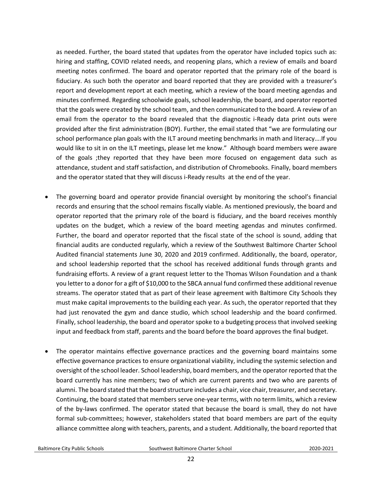as needed. Further, the board stated that updates from the operator have included topics such as: hiring and staffing, COVID related needs, and reopening plans, which a review of emails and board meeting notes confirmed. The board and operator reported that the primary role of the board is fiduciary. As such both the operator and board reported that they are provided with a treasurer's report and development report at each meeting, which a review of the board meeting agendas and minutes confirmed. Regarding schoolwide goals, school leadership, the board, and operator reported that the goals were created by the school team, and then communicated to the board. A review of an email from the operator to the board revealed that the diagnostic i-Ready data print outs were provided after the first administration (BOY). Further, the email stated that "we are formulating our school performance plan goals with the ILT around meeting benchmarks in math and literacy….If you would like to sit in on the ILT meetings, please let me know." Although board members were aware of the goals ;they reported that they have been more focused on engagement data such as attendance, student and staff satisfaction, and distribution of Chromebooks. Finally, board members and the operator stated that they will discuss i-Ready results at the end of the year.

- The governing board and operator provide financial oversight by monitoring the school's financial records and ensuring that the school remains fiscally viable. As mentioned previously, the board and operator reported that the primary role of the board is fiduciary, and the board receives monthly updates on the budget, which a review of the board meeting agendas and minutes confirmed. Further, the board and operator reported that the fiscal state of the school is sound, adding that financial audits are conducted regularly, which a review of the Southwest Baltimore Charter School Audited financial statements June 30, 2020 and 2019 confirmed. Additionally, the board, operator, and school leadership reported that the school has received additional funds through grants and fundraising efforts. A review of a grant request letter to the Thomas Wilson Foundation and a thank you letter to a donor for a gift of \$10,000 to the SBCA annual fund confirmed these additional revenue streams. The operator stated that as part of their lease agreement with Baltimore City Schools they must make capital improvements to the building each year. As such, the operator reported that they had just renovated the gym and dance studio, which school leadership and the board confirmed. Finally, school leadership, the board and operator spoke to a budgeting process that involved seeking input and feedback from staff, parents and the board before the board approves the final budget.
- The operator maintains effective governance practices and the governing board maintains some effective governance practices to ensure organizational viability, including the systemic selection and oversight of the school leader. School leadership, board members, and the operator reported that the board currently has nine members; two of which are current parents and two who are parents of alumni. The board stated that the board structure includes a chair, vice chair, treasurer, and secretary. Continuing, the board stated that members serve one-year terms, with no term limits, which a review of the by-laws confirmed. The operator stated that because the board is small, they do not have formal sub-committees; however, stakeholders stated that board members are part of the equity alliance committee along with teachers, parents, and a student. Additionally, the board reported that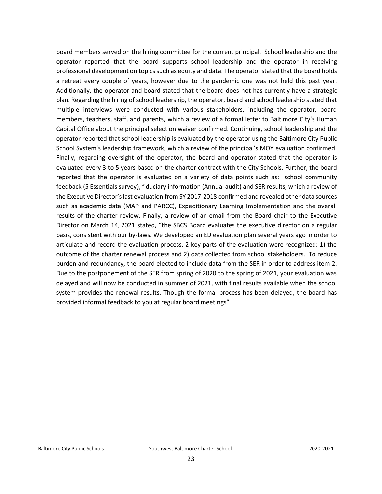board members served on the hiring committee for the current principal. School leadership and the operator reported that the board supports school leadership and the operator in receiving professional development on topics such as equity and data. The operator stated that the board holds a retreat every couple of years, however due to the pandemic one was not held this past year. Additionally, the operator and board stated that the board does not has currently have a strategic plan. Regarding the hiring of school leadership, the operator, board and school leadership stated that multiple interviews were conducted with various stakeholders, including the operator, board members, teachers, staff, and parents, which a review of a formal letter to Baltimore City's Human Capital Office about the principal selection waiver confirmed. Continuing, school leadership and the operator reported that school leadership is evaluated by the operator using the Baltimore City Public School System's leadership framework, which a review of the principal's MOY evaluation confirmed. Finally, regarding oversight of the operator, the board and operator stated that the operator is evaluated every 3 to 5 years based on the charter contract with the City Schools. Further, the board reported that the operator is evaluated on a variety of data points such as: school community feedback (5 Essentials survey), fiduciary information (Annual audit) and SER results, which a review of the Executive Director's last evaluation from SY 2017-2018 confirmed and revealed other data sources such as academic data (MAP and PARCC), Expeditionary Learning Implementation and the overall results of the charter review. Finally, a review of an email from the Board chair to the Executive Director on March 14, 2021 stated, "the SBCS Board evaluates the executive director on a regular basis, consistent with our by-laws. We developed an ED evaluation plan several years ago in order to articulate and record the evaluation process. 2 key parts of the evaluation were recognized: 1) the outcome of the charter renewal process and 2) data collected from school stakeholders. To reduce burden and redundancy, the board elected to include data from the SER in order to address item 2. Due to the postponement of the SER from spring of 2020 to the spring of 2021, your evaluation was delayed and will now be conducted in summer of 2021, with final results available when the school system provides the renewal results. Though the formal process has been delayed, the board has provided informal feedback to you at regular board meetings"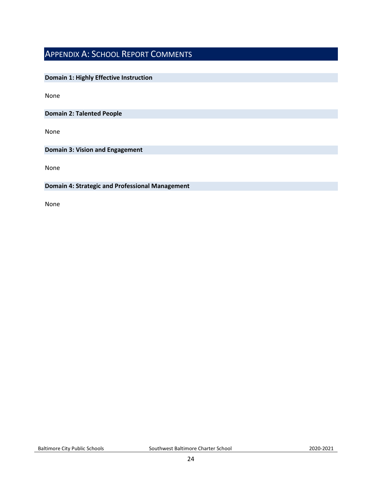## <span id="page-23-0"></span>APPENDIX A: SCHOOL REPORT COMMENTS

## **Domain 1: Highly Effective Instruction**

None

**Domain 2: Talented People**

None

**Domain 3: Vision and Engagement**

None

### **Domain 4: Strategic and Professional Management**

None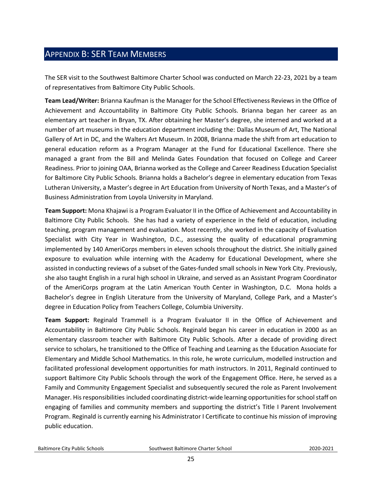## <span id="page-24-0"></span>APPENDIX B: SER TEAM MEMBERS

The SER visit to the Southwest Baltimore Charter School was conducted on March 22-23, 2021 by a team of representatives from Baltimore City Public Schools.

**Team Lead/Writer:** Brianna Kaufman is the Manager for the School Effectiveness Reviews in the Office of Achievement and Accountability in Baltimore City Public Schools. Brianna began her career as an elementary art teacher in Bryan, TX. After obtaining her Master's degree, she interned and worked at a number of art museums in the education department including the: Dallas Museum of Art, The National Gallery of Art in DC, and the Walters Art Museum. In 2008, Brianna made the shift from art education to general education reform as a Program Manager at the Fund for Educational Excellence. There she managed a grant from the Bill and Melinda Gates Foundation that focused on College and Career Readiness. Prior to joining OAA, Brianna worked as the College and Career Readiness Education Specialist for Baltimore City Public Schools. Brianna holds a Bachelor's degree in elementary education from Texas Lutheran University, a Master's degree in Art Education from University of North Texas, and a Master's of Business Administration from Loyola University in Maryland.

**Team Support:** Mona Khajawi is a Program Evaluator II in the Office of Achievement and Accountability in Baltimore City Public Schools. She has had a variety of experience in the field of education, including teaching, program management and evaluation. Most recently, she worked in the capacity of Evaluation Specialist with City Year in Washington, D.C., assessing the quality of educational programming implemented by 140 AmeriCorps members in eleven schools throughout the district. She initially gained exposure to evaluation while interning with the Academy for Educational Development, where she assisted in conducting reviews of a subset of the Gates-funded small schools in New York City. Previously, she also taught English in a rural high school in Ukraine, and served as an Assistant Program Coordinator of the AmeriCorps program at the Latin American Youth Center in Washington, D.C. Mona holds a Bachelor's degree in English Literature from the University of Maryland, College Park, and a Master's degree in Education Policy from Teachers College, Columbia University.

**Team Support:** Reginald Trammell is a Program Evaluator II in the Office of Achievement and Accountability in Baltimore City Public Schools. Reginald began his career in education in 2000 as an elementary classroom teacher with Baltimore City Public Schools. After a decade of providing direct service to scholars, he transitioned to the Office of Teaching and Learning as the Education Associate for Elementary and Middle School Mathematics. In this role, he wrote curriculum, modelled instruction and facilitated professional development opportunities for math instructors. In 2011, Reginald continued to support Baltimore City Public Schools through the work of the Engagement Office. Here, he served as a Family and Community Engagement Specialist and subsequently secured the role as Parent Involvement Manager. His responsibilities included coordinating district-wide learning opportunities for school staff on engaging of families and community members and supporting the district's Title I Parent Involvement Program. Reginald is currently earning his Administrator I Certificate to continue his mission of improving public education.